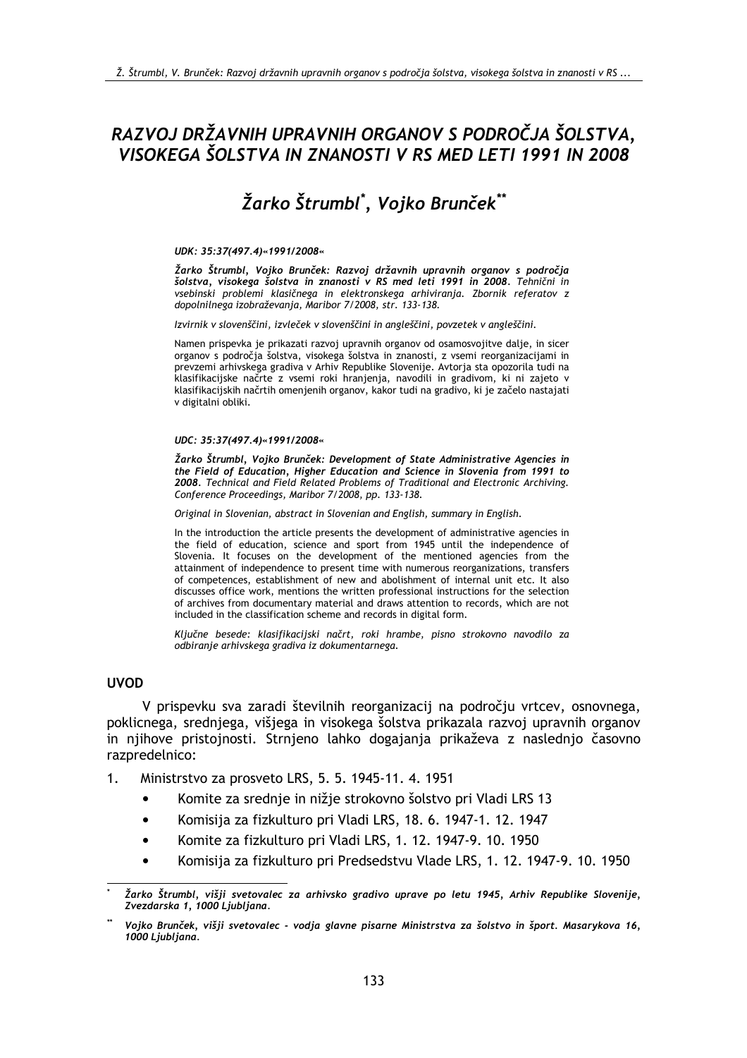## RAZVOJ DRŽAVNIH UPRAVNIH ORGANOV S PODROČJA ŠOLSTVA, VISOKEGA ŠOLSTVA IN ZNANOSTI V RS MED LETI 1991 IN 2008

# Žarko Štrumbl<sup>\*</sup>, Vojko Brunček<sup>\*\*</sup>

#### UDK: 35:37(497.4)«1991/2008«

Žarko Štrumbl, Vojko Brunček: Razvoj državnih upravnih organov s področja šolstva, visokega šolstva in znanosti v RS med leti 1991 in 2008. Tehnični in vsebinski problemi klasičnega in elektronskega arhiviranja. Zbornik referatov z dopolnilnega izobraževanja, Maribor 7/2008, str. 133-138.

Izvirnik v slovenščini, izvleček v slovenščini in angleščini, povzetek v angleščini.

Namen prispevka je prikazati razvoj upravnih organov od osamosvojitve dalje, in sicer organov s področja šolstva, visokega šolstva in znanosti, z vsemi reorganizacijami in prevzemi arhivskega gradiva v Arhiv Republike Slovenije. Avtorja sta opozorila tudi na klasifikacijske načrte z vsemi roki hranjenja, navodili in gradivom, ki ni zajeto v klasifikacijskih načrtih omenjenih organov, kakor tudi na gradivo, ki je začelo nastajati v digitalni obliki.

#### UDC: 35:37(497.4)«1991/2008«

Žarko Štrumbl, Vojko Brunček: Development of State Administrative Agencies in the Field of Education, Higher Education and Science in Slovenia from 1991 to 2008. Technical and Field Related Problems of Traditional and Electronic Archiving. Conference Proceedings, Maribor 7/2008, pp. 133-138.

Original in Slovenian, abstract in Slovenian and English, summary in English.

In the introduction the article presents the development of administrative agencies in the field of education, science and sport from 1945 until the independence of Slovenia. It focuses on the development of the mentioned agencies from the attainment of independence to present time with numerous reorganizations, transfers of competences, establishment of new and abolishment of internal unit etc. It also discusses office work, mentions the written professional instructions for the selection of archives from documentary material and draws attention to records, which are not included in the classification scheme and records in digital form.

Ključne besede: klasifikacijski načrt, roki hrambe, pisno strokovno navodilo za odbiranje arhivskega gradiva iz dokumentarnega.

#### **UVOD**

V prispevku sva zaradi številnih reorganizacij na področju vrtcev, osnovnega, poklicnega, srednjega, višjega in visokega šolstva prikazala razvoj upravnih organov in njihove pristojnosti. Strnjeno lahko dogajanja prikaževa z naslednjo časovno razpredelnico:

Ministrstvo za prosveto LRS, 5, 5, 1945-11, 4, 1951  $1<sub>1</sub>$ 

- Komite za srednje in nižje strokovno šolstvo pri Vladi LRS 13  $\bullet$
- Komisija za fizkulturo pri Vladi LRS, 18. 6. 1947-1. 12. 1947
- Komite za fizkulturo pri Vladi LRS, 1. 12. 1947-9. 10. 1950
- Komisija za fizkulturo pri Predsedstvu Vlade LRS, 1, 12, 1947-9, 10, 1950

Žarko Štrumbl, višji svetovalec za arhivsko gradivo uprave po letu 1945, Arhiv Republike Slovenije, Zvezdarska 1, 1000 Ljubljana.

Vojko Brunček, višji svetovalec - vodja glavne pisarne Ministrstva za šolstvo in šport. Masarykova 16, 1000 Ljubljana.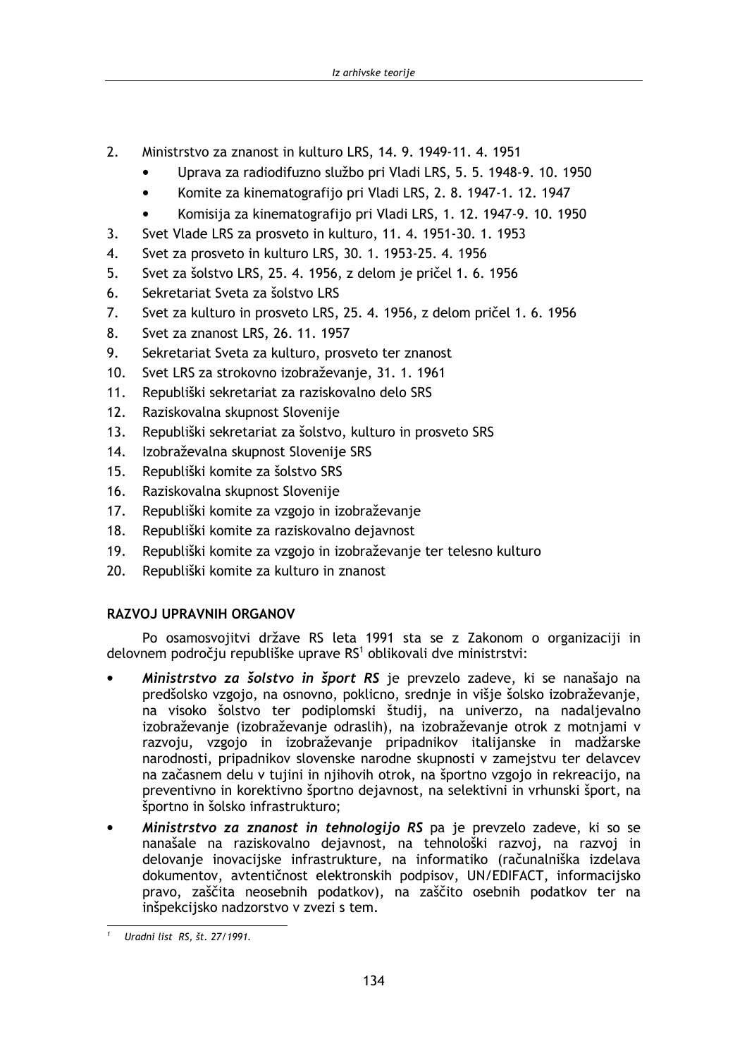- $\overline{2}$ Ministrstvo za znanost in kulturo LRS, 14, 9, 1949-11, 4, 1951
	- Uprava za radiodifuzno službo pri Vladi LRS, 5, 5, 1948-9, 10, 1950
	- Komite za kinematografijo pri Vladi LRS, 2, 8, 1947-1, 12, 1947  $\bullet$
	- Komisija za kinematografijo pri Vladi LRS, 1, 12, 1947-9, 10, 1950
- Svet Vlade LRS za prosveto in kulturo, 11, 4, 1951-30, 1, 1953 3.
- $\mathbf{4}$ . Svet za prosveto in kulturo LRS, 30. 1. 1953-25. 4. 1956
- $5<sub>1</sub>$ Svet za šolstvo LRS, 25. 4. 1956, z delom je pričel 1. 6. 1956
- Sekretariat Sveta za šolstvo LRS 6.
- $7.$ Svet za kulturo in prosveto LRS, 25. 4. 1956, z delom pričel 1. 6. 1956
- 8. Svet za znanost LRS, 26. 11. 1957
- 9. Sekretariat Sveta za kulturo, prosveto ter znanost
- $10.$ Svet LRS za strokovno izobraževanje, 31, 1, 1961
- $11.$ Republiški sekretariat za raziskovalno delo SRS
- $12.$ Raziskovalna skupnost Slovenije
- $13.$ Republiški sekretariat za šolstvo, kulturo in prosveto SRS
- $14<sub>1</sub>$ Izobraževalna skupnost Slovenije SRS
- $15.$ Republiški komite za šolstvo SRS
- $16.$ Raziskovalna skupnost Slovenije
- $17.$ Republiški komite za vzgojo in izobraževanje
- $18.$ Republiški komite za raziskovalno dejavnost
- Republiški komite za vzgojo in izobraževanje ter telesno kulturo  $19.$
- $20.$ Republiški komite za kulturo in znanost

## **RAZVOJ UPRAVNIH ORGANOV**

Po osamosvojitvi države RS leta 1991 sta se z Zakonom o organizaciji in delovnem področju republiške uprave RS<sup>1</sup> oblikovali dve ministrstvi:

- Ministrstvo za šolstvo in šport RS je prevzelo zadeve, ki se nanašajo na predšolsko vzgojo, na osnovno, poklicno, srednie in višie šolsko izobraževanie, na visoko šolstvo ter podiplomski študij, na univerzo, na nadaljevalno izobraževanie (izobraževanie odraslih), na izobraževanie otrok z motniami v razvoju, vzgojo in izobraževanje pripadnikov italijanske in madžarske narodnosti, pripadnikov slovenske narodne skupnosti v zamejstvu ter delavcev na začasnem delu v tujini in njihovih otrok, na športno vzgojo in rekreacijo, na preventivno in korektivno športno dejavnost, na selektivni in vrhunski šport, na športno in šolsko infrastrukturo:
- Ministrstvo za znanost in tehnologijo RS pa je prevzelo zadeve, ki so se nanašale na raziskovalno dejavnost, na tehnološki razvoj, na razvoj in delovanje inovacijske infrastrukture, na informatiko (računalniška izdelava dokumentov, avtentičnost elektronskih podpisov, UN/EDIFACT, informacijsko pravo, zaščita neosebnih podatkov), na zaščito osebnih podatkov ter na inšpekcijsko nadzorstvo v zvezi s tem.

Uradni list RS, št. 27/1991.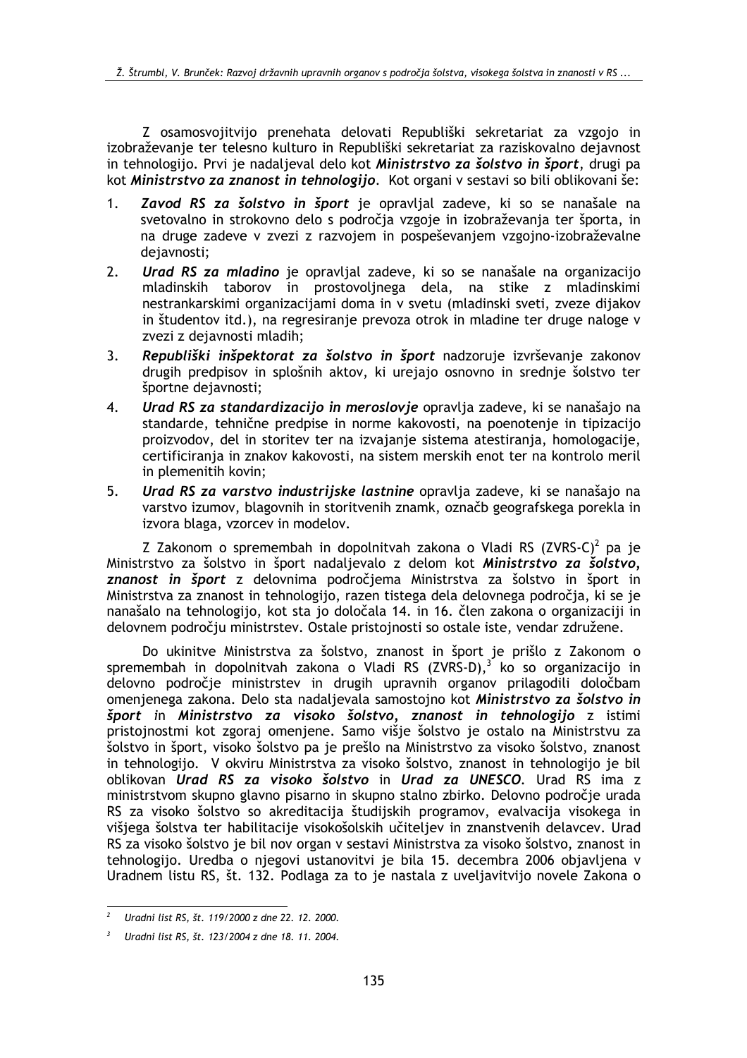Z osamosvojitvijo prenehata delovati Republiški sekretariat za vzgojo in izobraževanje ter telesno kulturo in Republiški sekretariat za raziskovalno dejavnost in tehnologijo. Prvi je nadaljeval delo kot Ministrstvo za šolstvo in šport, drugi pa kot Ministrstvo za znanost in tehnologijo. Kot organi v sestavi so bili oblikovani še:

- Zavod RS za šolstvo in šport je opravljal zadeve, ki so se nanašale na  $1<sub>1</sub>$ svetovalno in strokovno delo s področja vzgoje in izobraževanja ter športa, in na druge zadeve v zvezi z razvojem in pospeševanjem vzgojno-izobraževalne dejavnosti;
- $2.$ Urad RS za mladino je opravljal zadeve, ki so se nanašale na organizacijo mladinskih taborov in prostovoljnega dela, na stike z mladinskimi nestrankarskimi organizacijami doma in v svetu (mladinski sveti, zveze dijakov in študentov itd.), na regresiranje prevoza otrok in mladine ter druge naloge v zvezi z dejavnosti mladih;
- Republiški inšpektorat za šolstvo in šport nadzoruje izvrševanje zakonov 3. drugih predpisov in splošnih aktov, ki urejajo osnovno in srednje šolstvo ter športne dejavnosti;
- $\overline{4}$ Urad RS za standardizacijo in meroslovje opravlja zadeve, ki se nanašajo na standarde, tehnične predpise in norme kakovosti, na poenotenje in tipizacijo proizvodov, del in storitev ter na izvajanje sistema atestiranja, homologacije, certificiranja in znakov kakovosti, na sistem merskih enot ter na kontrolo meril in plemenitih kovin;
- $5<sub>1</sub>$ Urad RS za varstvo industrijske lastnine opravlja zadeve, ki se nanašajo na varstvo izumov, blagovnih in storitvenih znamk, označb geografskega porekla in izvora blaga, vzorcev in modelov.

Z Zakonom o spremembah in dopolnitvah zakona o Vladi RS (ZVRS-C)<sup>2</sup> pa je Ministrstvo za šolstvo in šport nadaljevalo z delom kot Ministrstvo za šolstvo, znanost in šport z delovnima področjema Ministrstva za šolstvo in šport in Ministrstva za znanost in tehnologijo, razen tistega dela delovnega področia, ki se je nanašalo na tehnologijo, kot sta jo določala 14. in 16. člen zakona o organizaciji in delovnem področju ministrstev. Ostale pristojnosti so ostale iste, vendar združene.

Do ukinitve Ministrstva za šolstvo, znanost in šport je prišlo z Zakonom o spremembah in dopolnitvah zakona o Vladi RS (ZVRS-D),<sup>3</sup> ko so organizacijo in delovno področie ministrstev in drugih upravnih organov prilagodili določbam omenjenega zakona. Delo sta nadaljevala samostojno kot Ministrstvo za šolstvo in šport in Ministrstvo za visoko šolstvo, znanost in tehnologijo z istimi pristojnostmi kot zgoraj omenjene. Samo višje šolstvo je ostalo na Ministrstvu za šolstvo in šport, visoko šolstvo pa je prešlo na Ministrstvo za visoko šolstvo, znanost in tehnologijo. V okviru Ministrstva za visoko šolstvo, znanost in tehnologijo je bil oblikovan Urad RS za visoko šolstvo in Urad za UNESCO. Urad RS ima z ministrstvom skupno glavno pisarno in skupno stalno zbirko. Delovno področje urada RS za visoko šolstvo so akreditacija študijskih programov, evalvacija visokega in višjega šolstva ter habilitacije visokošolskih učiteljev in znanstvenih delavcev. Urad RS za visoko šolstvo je bil nov organ v sestavi Ministrstva za visoko šolstvo, znanost in tehnologijo. Uredba o njegovi ustanovitvi je bila 15. decembra 2006 objavljena v Uradnem listu RS, št. 132. Podlaga za to je nastala z uveljavitvijo novele Zakona o

Uradni list RS, št. 119/2000 z dne 22, 12, 2000.

Uradni list RS, št. 123/2004 z dne 18. 11. 2004.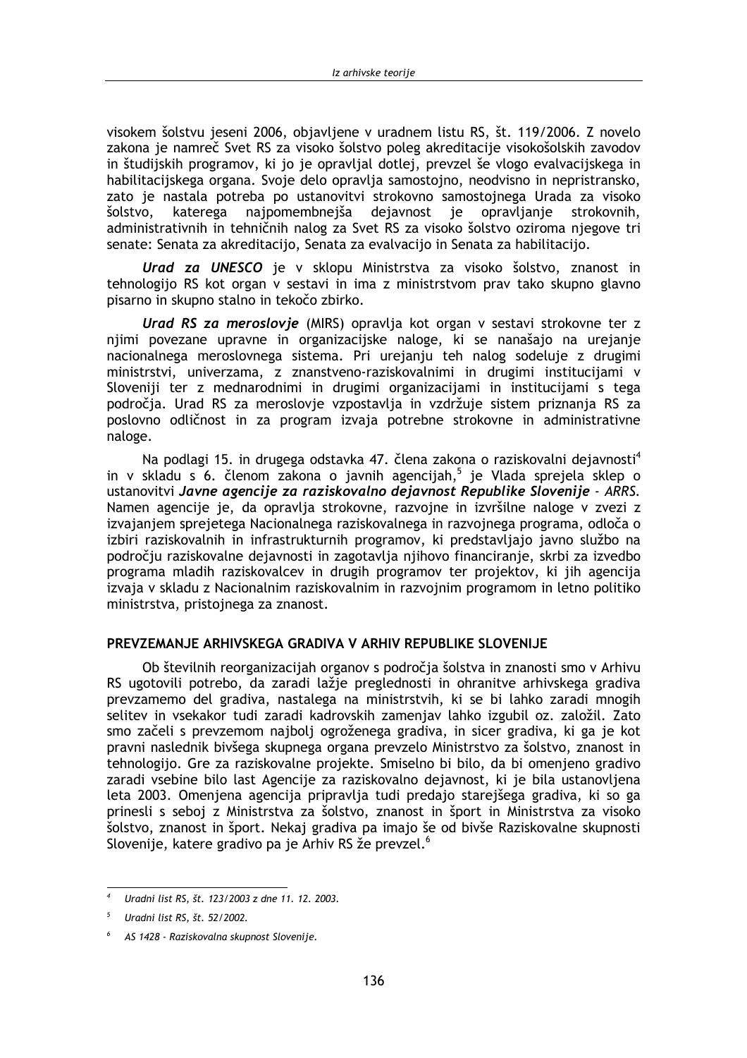visokem šolstvu jeseni 2006. objavljene v uradnem listu RS, št. 119/2006. Z novelo zakona je namreč Svet RS za visoko šolstvo poleg akreditacije visokošolskih zavodov in študijskih programov, ki jo je opravljal dotlej, prevzel še vlogo evalvacijskega in habilitacijskega organa. Svoje delo opravlja samostojno, neodvisno in nepristransko, zato je nastala potreba po ustanovitvi strokovno samostojnega Urada za visoko šolstvo, katerega najpomembnejša dejavnost je opravljanje strokovnih. administrativnih in tehničnih nalog za Svet RS za visoko šolstvo oziroma njegove tri senate: Senata za akreditacijo, Senata za evalvacijo in Senata za habilitacijo.

Urad za UNESCO je v sklopu Ministrstva za visoko šolstvo, znanost in tehnologijo RS kot organ v sestavi in ima z ministrstvom prav tako skupno glavno pisarno in skupno stalno in tekočo zbirko.

Urad RS za meroslovje (MIRS) opravlja kot organ v sestavi strokovne ter z njimi povezane upravne in organizacijske naloge, ki se nanašajo na urejanje nacionalnega meroslovnega sistema. Pri urejanju teh nalog sodeluje z drugimi ministrstvi, univerzama, z znanstveno-raziskovalnimi in drugimi institucijami v Sloveniji ter z mednarodnimi in drugimi organizacijami in institucijami s tega področja. Urad RS za meroslovje vzpostavlja in vzdržuje sistem priznanja RS za poslovno odličnost in za program izvaja potrebne strokovne in administrativne naloge.

Na podlagi 15. in drugega odstavka 47. člena zakona o raziskovalni dejavnosti<sup>4</sup> in v skladu s 6. členom zakona o javnih agencijah.<sup>5</sup> je Vlada sprejela sklep o ustanovitvi Javne agencije za raziskovalno dejavnost Republike Slovenije - ARRS. Namen agencije je, da opravlja strokovne, razvojne in izvršilne naloge v zvezi z izvajanjem sprejetega Nacionalnega raziskovalnega in razvojnega programa, odloča o izbiri raziskovalnih in infrastrukturnih programov, ki predstavliajo javno službo na področju raziskovalne dejavnosti in zagotavlja njihovo financiranje, skrbi za izvedbo programa mladih raziskovalcev in drugih programov ter projektov, ki jih agencija izvają v skladu z Nacionalnim raziskovalnim in razvojnim programom in letno politiko ministrstva, pristojnega za znanost.

#### PREVZEMANJE ARHIVSKEGA GRADIVA V ARHIV REPUBLIKE SLOVENIJE

Ob številnih reorganizacijah organov s področia šolstva in znanosti smo v Arhivu RS ugotovili potrebo, da zaradi lažie preglednosti in ohranitve arhivskega gradiva prevzamemo del gradiva, nastalega na ministrstvih, ki se bi lahko zaradi mnogih selitev in vsekakor tudi zaradi kadrovskih zamenjav lahko izgubil oz. založil. Zato smo začeli s prevzemom najbolj ogroženega gradiva, in sicer gradiva, ki ga je kot pravni naslednik bivšega skupnega organa prevzelo Ministrstvo za šolstvo, znanost in tehnologijo. Gre za raziskovalne projekte. Smiselno bi bilo, da bi omenjeno gradivo zaradi vsebine bilo last Agencije za raziskovalno dejavnost, ki je bila ustanovljena leta 2003. Omenjena agencija pripravlja tudi predajo starejšega gradiva, ki so ga prinesli s seboj z Ministrstva za šolstvo, znanost in šport in Ministrstva za visoko šolstvo, znanost in šport. Nekaj gradiva pa imajo še od bivše Raziskovalne skupnosti Slovenije, katere gradivo pa je Arhiv RS že prevzel.<sup>6</sup>

Uradni list RS, št. 123/2003 z dne 11. 12. 2003.

Uradni list RS, št. 52/2002.

AS 1428 - Raziskovalna skupnost Slovenije.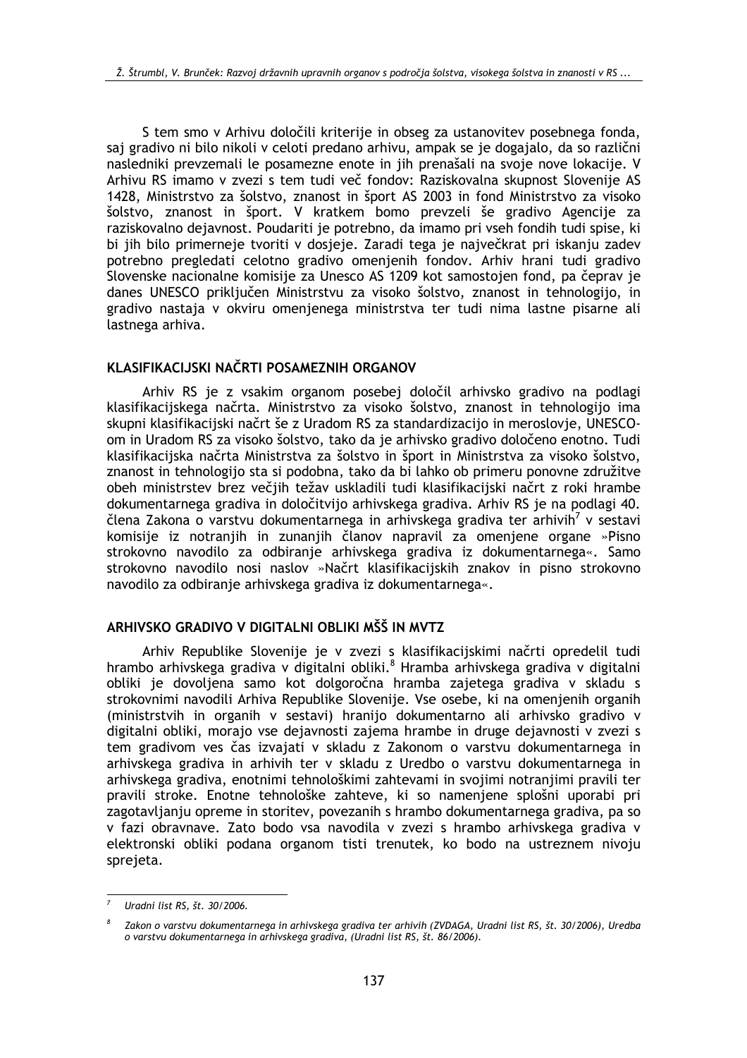S tem smo v Arhivu določili kriterije in obseg za ustanovitev posebnega fonda, saj gradivo ni bilo nikoli v celoti predano arhivu, ampak se je dogajalo, da so različni nasledniki prevzemali le posamezne enote in jih prenašali na svoje nove lokacije. V Arhivu RS imamo v zvezi s tem tudi več fondov: Raziskovalna skupnost Slovenije AS 1428, Ministrstvo za šolstvo, znanost in šport AS 2003 in fond Ministrstvo za visoko šolstvo, znanost in šport. V kratkem bomo prevzeli še gradivo Agencije za raziskovalno dejavnost. Poudariti je potrebno, da imamo pri vseh fondih tudi spise, ki bi jih bilo primerneje tvoriti v dosjeje. Zaradi tega je največkrat pri iskanju zadev potrebno pregledati celotno gradivo omenjenih fondov. Arhiv hrani tudi gradivo Slovenske nacionalne komisije za Unesco AS 1209 kot samostojen fond, pa čeprav je danes UNESCO priključen Ministrstvu za visoko šolstvo, znanost in tehnologijo, in gradivo nastaja v okviru omenjenega ministrstva ter tudi nima lastne pisarne ali lastnega arhiva.

#### KLASIFIKACIJSKI NAČRTI POSAMEZNIH ORGANOV

Arhiv RS je z vsakim organom posebej določil arhivsko gradivo na podlagi klasifikacijskega načrta. Ministrstvo za visoko šolstvo, znanost in tehnologijo ima skupni klasifikacijski načrt še z Uradom RS za standardizacijo in meroslovje, UNESCOom in Uradom RS za visoko šolstvo, tako da je arhivsko gradivo določeno enotno. Tudi klasifikacijska načrta Ministrstva za šolstvo in šport in Ministrstva za visoko šolstvo, znanost in tehnologijo sta si podobna, tako da bi lahko ob primeru ponovne združitve obeh ministrstev brez večjih težav uskladili tudi klasifikacijski načrt z roki hrambe dokumentarnega gradiva in določitvijo arhivskega gradiva. Arhiv RS je na podlagi 40. člena Zakona o varstvu dokumentarnega in arhivskega gradiva ter arhivih<sup>7</sup> v sestavi komisije iz notranjih in zunanjih članov napravil za omenjene organe »Pisno strokovno navodilo za odbiranje arhivskega gradiva iz dokumentarnega«. Samo strokovno navodilo nosi naslov »Načrt klasifikacijskih znakov in pisno strokovno navodilo za odbiranje arhivskega gradiva iz dokumentarnega«.

### ARHIVSKO GRADIVO V DIGITALNI OBLIKI MŠŠ IN MVTZ

Arhiv Republike Slovenije je v zvezi s klasifikacijskimi načrti opredelil tudi hrambo arhivskega gradiva v digitalni obliki.<sup>8</sup> Hramba arhivskega gradiva v digitalni obliki je dovoljena samo kot dolgoročna hramba zajetega gradiva v skladu s strokovnimi navodili Arhiva Republike Slovenije. Vse osebe, ki na omenjenih organih (ministrstvih in organih v sestavi) hranijo dokumentarno ali arhivsko gradivo v digitalni obliki, morajo vse dejavnosti zajema hrambe in druge dejavnosti v zvezi s tem gradivom ves čas izvajati v skladu z Zakonom o varstvu dokumentarnega in arhivskega gradiva in arhivih ter v skladu z Uredbo o varstvu dokumentarnega in arhivskega gradiva, enotnimi tehnološkimi zahtevami in svojimi notranjimi pravili ter pravili stroke. Enotne tehnološke zahteve, ki so namenjene splošni uporabi pri zagotavljanju opreme in storitev, povezanih s hrambo dokumentarnega gradiva, pa so v fazi obravnave. Zato bodo vsa navodila v zvezi s hrambo arhivskega gradiva v elektronski obliki podana organom tisti trenutek, ko bodo na ustreznem nivoju sprejeta.

Uradni list RS, št. 30/2006.

Zakon o varstvu dokumentarnega in arhivskega gradiva ter arhivih (ZVDAGA, Uradni list RS, št. 30/2006), Uredba o varstvu dokumentarnega in arhivskega gradiva, (Uradni list RS, št. 86/2006).